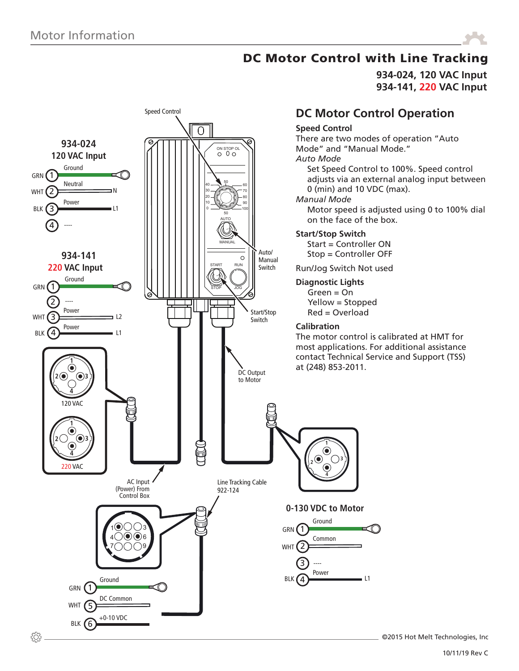

**934-024, 120 VAC Input 934-141, 220 VAC Input**



©2015 Hot Melt Technologies, Inc